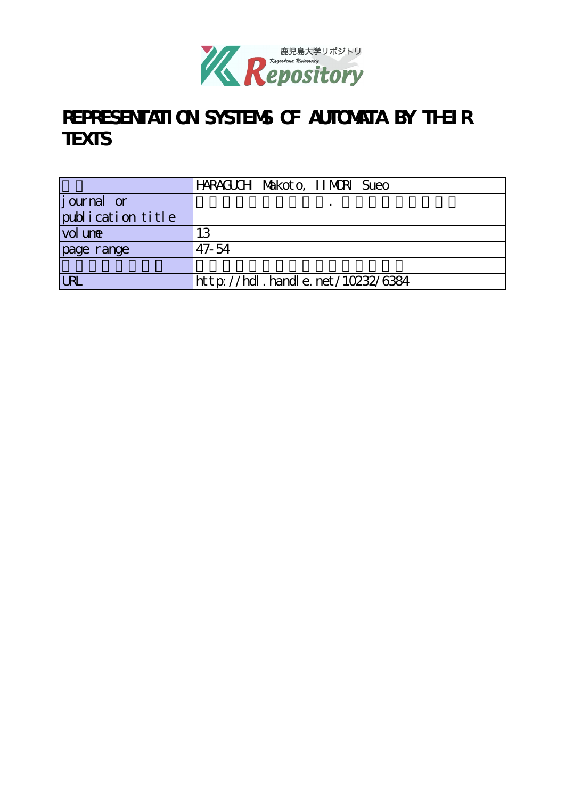

# REPRESENTATION SYSTEMS OF AUTOMATA BY THEIR **TEXTS**

|                   | HARAGUCH Makoto, IIMORI Sueo       |
|-------------------|------------------------------------|
| journal or        |                                    |
| publication title |                                    |
| vol une           | 13                                 |
| page range        | $47 - 54$                          |
|                   |                                    |
| <b>URL</b>        | http://hdl. handle. net/10232/6384 |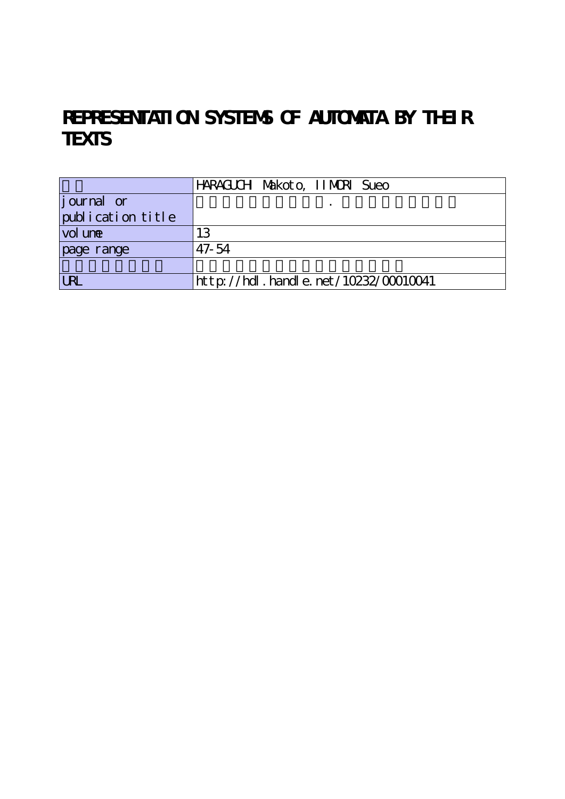## REPRESENTATION SYSTEMS OF AUTOMATA BY THEIR **TEXTS**

|                    | HARAGUCH Makoto, IIMORI Sueo              |
|--------------------|-------------------------------------------|
| <i>j</i> ournal or |                                           |
| publication title  |                                           |
| vol une            | 13                                        |
| page range         | $47 - 54$                                 |
|                    |                                           |
| LRL                | $http$ ://hdl. handle. net/10232/00010041 |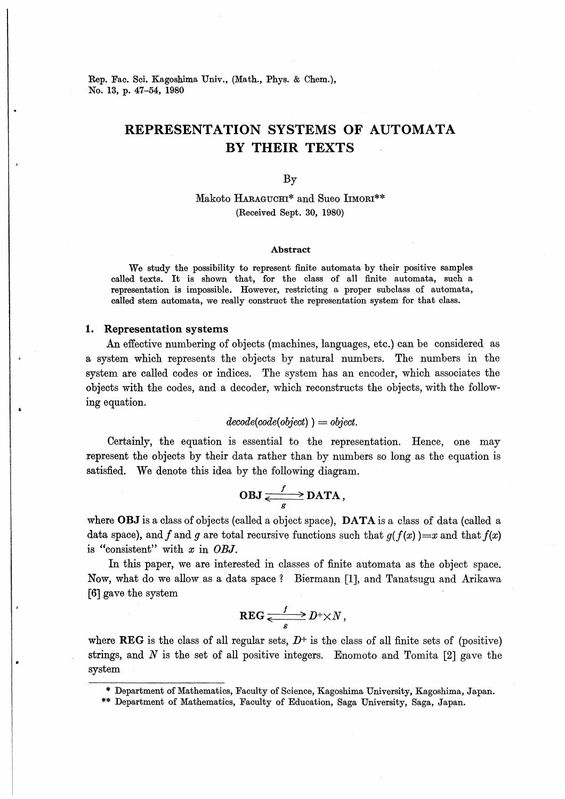Rep. Fac. Sci. Kagoshima Univ., (Math., Phys. & Chem.), No. 13, p. 47-54, 1980

## REPRESENTATION SYSTEMS OF AUTOMATA BY THEIR TEXTS

By

Makoto HARAGUCHI\* and Sueo IIMORI\*\* (Received Sept. 30, 1980)

### Abstract

We study the possibility to represent finite automata by their positive samples called texts. It is shown that, for the class of all finite automata, such a representation is impossible. However, restricting a proper subclass of automata, called stem automata, we really construct the representation system for that class.

## 1. Representation systems

An effective numbering of objects (machines, languages, etc.) can be considered as a system which represents the objects by natural numbers. The numbers in the system are called codes or indices. The system has an encoder, which associates the objects with the codes, and a decoder, which reconstructs the objects, with the following equation.

$$
decode(code(object)) = object.
$$

Certainly, the equation is essential to the representation. Hence, one may represent the objects by their data rather than by numbers so long as the equation is satisfied. We denote this idea by the following diagram.

$$
OBJ \xrightarrow{\qquad f} \text{DATA},
$$

where **OBJ** is a class of objects (called a object space), **DATA** is a class of data (called a data space), and f and g are total recursive functions such that  $q(f(x))=x$  and that  $f(x)$ is "consistent" with  $x$  in OBJ.

In this paper, we are interested in classes of finite automata as the object space. Now, what do we allow as a data space号 Biermann [1], and Tanatsugu and Arikawa [6] gave the system

$$
\text{REG} \xrightarrow{\qquad f \qquad} D^+ \times N \,,
$$

where REG is the class of all regular sets,  $D^+$  is the class of all finite sets of (positive) strings, and  $N$  is the set of all positive integers. Enomoto and Tomita  $[2]$  gave the system

Department of Mathematics, Faculty of Science, Kagoshima University, Kagoshima, Japan.

<sup>\*\*</sup> Department of Mathematics, Faculty of Education, Saga University, Saga, Japan.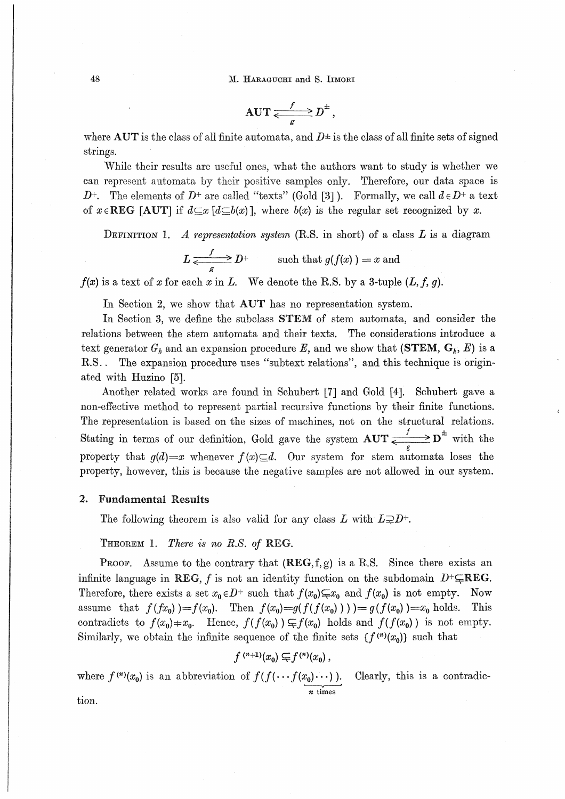M. HARAGUCHI and S. IIMORI

$$
\text{AUT} \xleftarrow{f} D^{\pm},
$$

where AUT is the class of all finite automata, and  $D^{\pm}$  is the class of all finite sets of signed strings.

While their results are useful ones, what the authors want to study is whether we can represent automata by their positive samples only. Therefore, our data space is  $D^+$ . The elements of  $D^+$  are called "texts" (Gold [3]). Formally, we call  $d \in D^+$  a text of  $x \in \text{REG}$  [AUT] if  $d \subseteq x$  [ $d \subseteq b(x)$ ], where  $b(x)$  is the regular set recognized by x.

DEFINITION 1. A representation system (R.S. in short) of a class  $L$  is a diagram

$$
L \xrightarrow{\qquad f} D^+ \qquad \text{such that } g(f(x)) = x \text{ and}
$$

 $f(x)$  is a text of x for each x in L. We denote the R.S. by a 3-tuple  $(L, f, g)$ .

In Section 2, we show that AUT has no representation system.

In Section 3, we define the subclass **STEM** of stem automata, and consider the relations between the stem automata and their texts. The considerations introduce a text generator  $G_k$  and an expansion procedure E, and we show that (STEM,  $G_k$ , E) is a The expansion procedure uses "subtext relations", and this technique is origin- $R.S.$ . ated with Huzino [5].

Another related works are found in Schubert [7] and Gold [4]. Schubert gave a non-effective method to represent partial recursive functions by their finite functions. The representation is based on the sizes of machines, not on the structural relations. Stating in terms of our definition, Gold gave the system  $AUT \xleftarrows {\mathbf{D}^{\pm} \atop \epsilon} \mathbf{D}^{\pm}$  with the property that  $g(d)=x$  whenever  $f(x) \subseteq d$ . Our system for stem automata loses the property, however, this is because the negative samples are not allowed in our system.

#### 2. **Fundamental Results**

The following theorem is also valid for any class L with  $L\supsetneq D^+$ .

THEOREM 1. There is no R.S. of REG.

**PROOF.** Assume to the contrary that  $(REG, f, g)$  is a R.S. Since there exists an infinite language in REG, f is not an identity function on the subdomain  $D^+\subseteq \text{REG}$ . Therefore, there exists a set  $x_0 \in D^+$  such that  $f(x_0) \subsetneq x_0$  and  $f(x_0)$  is not empty. Now assume that  $f(fx_0) = f(x_0)$ . Then  $f(x_0) = g(f(f(x_0))) = g(f(x_0)) = x_0$  holds. This contradicts to  $f(x_0) = x_0$ . Hence,  $f(f(x_0)) \subset f(x_0)$  holds and  $f(f(x_0))$  is not empty. Similarly, we obtain the infinite sequence of the finite sets  $\{f^{(n)}(x_0)\}\$  such that

 $f^{(n+1)}(x_0) \subsetneq f^{(n)}(x_0)$ ,

where  $f^{(n)}(x_0)$  is an abbreviation of  $f(f(\cdots f(x_0)\cdots))$ . Clearly, this is a contradic-

tion.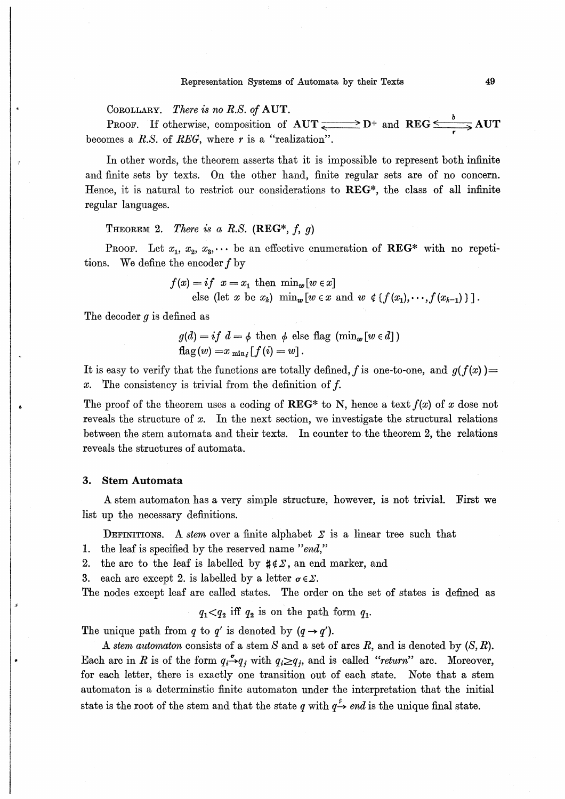COROLLARY. There is no R.S. of AUT.

**PROOF.** If otherwise, composition of  $AUT \xrightarrow{\bullet} D^+$  and  $REG \xrightarrow{b} AUT$ becomes a R.S. of REG, where  $r$  is a "realization".

In other words, the theorem asserts that it is impossible to represent both infinite and finite sets by texts. On the other hand, finite regular sets are of no concern. Hence, it is natural to restrict our considerations to REG\*, the class of all infinite regular languages.

## THEOREM 2. There is a R.S. (REG\*, f, g)

**PROOF.** Let  $x_1, x_2, x_3, \cdots$  be an effective enumeration of **REG**\* with no repetitions. We define the encoder  $f$  by

 $f(x) = if x = x_1$  then  $\min_w [w \in x]$ 

else (let x be  $x_k$ )  $\min_w [w \in x \text{ and } w \notin \{f(x_1), \dots, f(x_{k-1})\}].$ 

The decoder  $q$  is defined as

$$
g(d) = if d = \phi \text{ then } \phi \text{ else flag } (\min_{w} [w \in d])
$$
  
flag  $(w) = x_{\min_i} [f(i) = w].$ 

It is easy to verify that the functions are totally defined, f is one-to-one, and  $g(f(x)) =$ The consistency is trivial from the definition of f.  $x$ .

The proof of the theorem uses a coding of REG\* to N, hence a text  $f(x)$  of x dose not reveals the structure of  $x$ . In the next section, we investigate the structural relations between the stem automata and their texts. In counter to the theorem 2, the relations reveals the structures of automata.

#### **Stem Automata** 3.

A stem automaton has a very simple structure, however, is not trivial. First we list up the necessary definitions.

DEFINITIONS. A stem over a finite alphabet  $\Sigma$  is a linear tree such that

- 1. the leaf is specified by the reserved name "end,"
- the arc to the leaf is labelled by  $\sharp \notin \Sigma$ , an end marker, and 2.

each arc except 2, is labelled by a letter  $\sigma \in \Sigma$ . 3.

The nodes except leaf are called states. The order on the set of states is defined as

$$
q_1 < q_2
$$
 iff  $q_2$  is on the path form  $q_1$ .

The unique path from q to q' is denoted by  $(q \rightarrow q')$ .

A stem automaton consists of a stem S and a set of arcs R, and is denoted by  $(S, R)$ . Each arc in R is of the form  $q_i \rightarrow q_j$  with  $q_i \geq q_j$ , and is called "return" arc. Moreover, for each letter, there is exactly one transition out of each state. Note that a stem automaton is a determinstic finite automaton under the interpretation that the initial state is the root of the stem and that the state q with  $q \stackrel{*}{\rightarrow} end$  is the unique final state.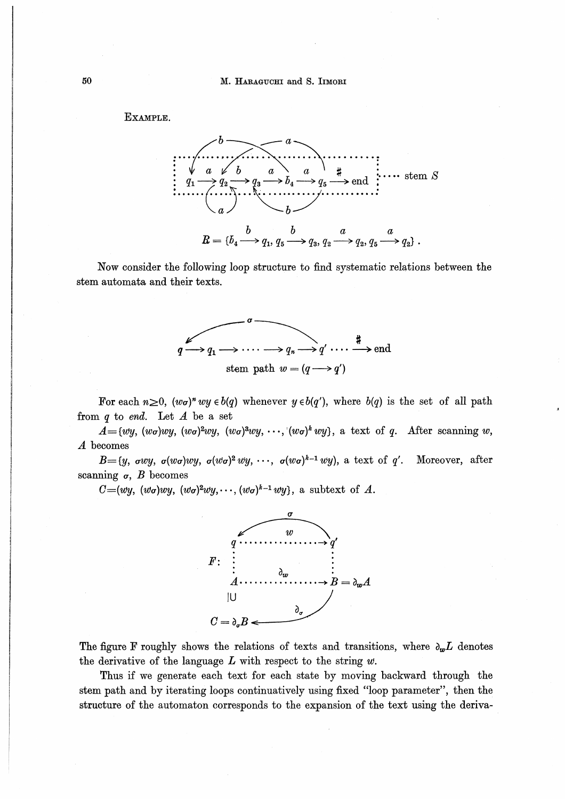Example.



Now consider the following loop structure to find systematic relations between the stem automata and their texts.



For each  $n\geq 0$ ,  $(w\sigma)^n wy \in b(q)$  whenever  $y \in b(q')$ , where  $b(q)$  is the set of all path from  $q$  to end. Let  $A$  be a set

 $A=[wy, (w\sigma)wy, (w\sigma)^2wy, (w\sigma)^3wy, \cdots, (w\sigma)^kwy],$  a text of q. After scanning w, A becomes

 $B=(y, \sigma wy, \sigma(w\sigma)wy, \sigma(w\sigma)^2 wy, \cdots, \sigma(w\sigma)^{k-1}wy),$  a text of q'. Moreover, after scanning  $\sigma$ , *B* becomes

 $C=(wy, (w\sigma)wy, (w\sigma)^2wy,\cdots, (w\sigma)^{k-1}wy$ , a subtext of A.



The figure F roughly shows the relations of texts and transitions, where  $\partial_{w}L$  denotes the derivative of the language  $L$  with respect to the string  $w$ .

Thus if we generate each text for each state by moving backward through the stem path and by iterating loops continuatively using fixed "loop parameter', then the structure of the automaton corresponds to the expansion of the text using the deriva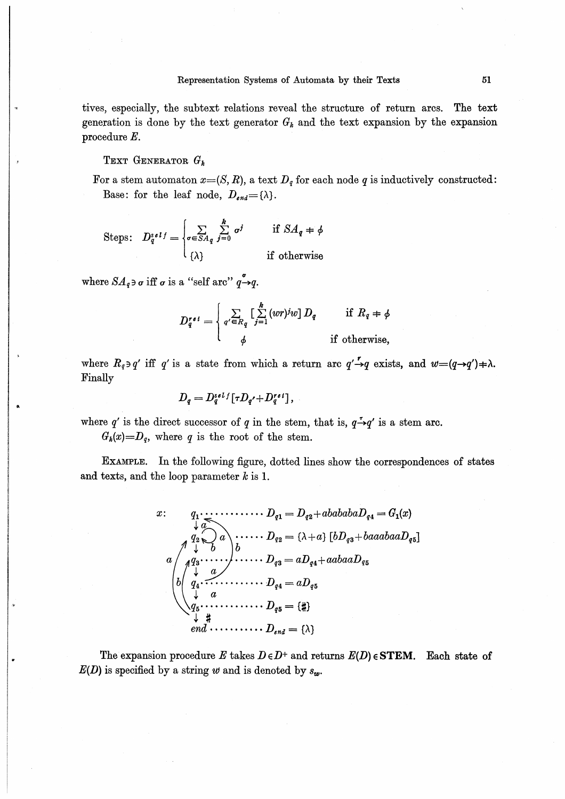tives, especially, the subtext relations reveal the structure of return arcs. The text generation is done by the text generator  $G_k$  and the text expansion by the expansion procedure  $E$ .

TEXT GENERATOR  $G_k$ 

For a stem automaton  $x=(S, R)$ , a text  $D_q$  for each node q is inductively constructed: Base: for the leaf node,  $D_{end} = {\lambda}.$ 

Steps: 
$$
D_q^{s \ell l} = \begin{cases} \sum_{\sigma \in SA_q} \sum_{j=0}^k \sigma^j & \text{if } SA_q = \phi \\ \{\lambda\} & \text{if otherwise} \end{cases}
$$

where  $SA_q \ni \sigma$  iff  $\sigma$  is a "self arc"  $q \rightarrow q$ .

$$
D_q^{\prime \, \epsilon \, i} = \begin{cases} \sum\limits_{q' \in R_q} \left[ \sum\limits_{j=1}^k (wr)^j w \right] D_q & \text{if } R_q \neq \phi \\ \phi & \text{if otherwise,} \end{cases}
$$

where  $R_q \ni q'$  iff q' is a state from which a return arc  $q' \rightarrow q$  exists, and  $w = (q \rightarrow q') \neq \lambda$ . Finally

$$
D_q = D_q^{self}[\tau D_{q'} + D_q^{ref}],
$$

where q' is the direct successor of q in the stem, that is,  $q \rightarrow q'$  is a stem arc.  $G_k(x)=D_q$ , where q is the root of the stem.

EXAMPLE. In the following figure, dotted lines show the correspondences of states and texts, and the loop parameter  $k$  is 1.

The expansion procedure E takes  $D \in D^+$  and returns  $E(D) \in \text{STEM}$ . Each state of  $E(D)$  is specified by a string w and is denoted by  $s_w$ .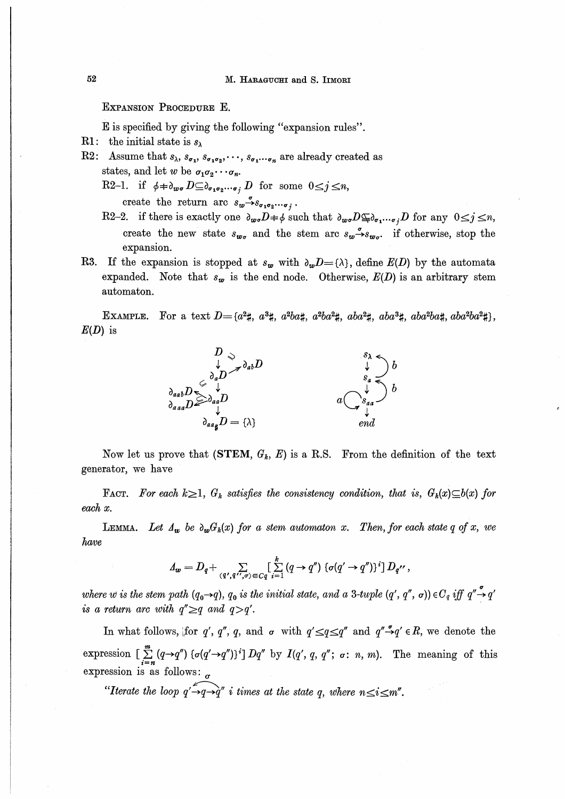## EXPANSION PROCEDURE E.

E is specified by giving the following "expansion rules".

- R1: the initial state is  $s_{\lambda}$
- R2: Assume that  $s_{\lambda}, s_{\sigma_1}, s_{\sigma_1 \sigma_2}, \dots, s_{\sigma_1 \cdots \sigma_n}$  are already created as states, and let w be  $\sigma_1 \sigma_2 \cdots \sigma_n$ .
	- R2-1. if  $\phi \neq b_{w\sigma} D \subseteq b_{\sigma_1 \sigma_2 \cdots \sigma_i} D$  for some  $0 \leq j \leq n$ ,

create the return arc  $s_w \xrightarrow{\sigma} s_{\sigma_1 \sigma_2 \cdots \sigma_j}$ .

- R2-2. if there is exactly one  $\partial_{w\sigma}D=\phi$  such that  $\partial_{w\sigma}D\subseteq \partial_{\sigma_1\cdots\sigma_j}D$  for any  $0\leq j\leq n$ , create the new state  $s_{w_{\sigma}}$  and the stem arc  $s_{w} \xrightarrow{\sigma} s_{w_{\sigma}}$  if otherwise, stop the expansion.
- R3. If the expansion is stopped at  $s_w$  with  $\partial_w D = {\lambda}$ , define  $E(D)$  by the automata expanded. Note that  $s_w$  is the end node. Otherwise,  $E(D)$  is an arbitrary stem automaton.

EXAMPLE. For a text  $D = \{a^2 \sharp, a^3 \sharp, a^2 ba \sharp, a^2 ba^2 \sharp, aba^2 \sharp, aba^3 \sharp, aba^3 \sharp, aba^2 ba \sharp, aba^2 ba^2 \sharp\},\$  $E(D)$  is



Now let us prove that (STEM,  $G_k$ , E) is a R.S. From the definition of the text generator, we have

FACT. For each  $k \geq 1$ ,  $G_k$  satisfies the consistency condition, that is,  $G_k(x) \subseteq b(x)$  for each x.

LEMMA. Let  $\Lambda_w$  be  $\partial_w G_k(x)$  for a stem automaton x. Then, for each state q of x, we have

$$
\Delta_{\mathbf{w}}=D_q+\sum_{(q',q'',\sigma)\in C_q} \left[\sum_{i=1}^k (q\to q'')\left\{\sigma(q'\to q'')\right\}^i\right]D_{q''},
$$

where w is the stem path  $(q_0 \rightarrow q)$ ,  $q_0$  is the initial state, and a 3-tuple  $(q', q'', \sigma)$ ) $\in C_q$  iff  $q'' \rightarrow q'$ is a return arc with  $q'' \geq q$  and  $q > q'$ .

In what follows, [for q', q'', q, and  $\sigma$  with  $q' \leq q \leq q''$  and  $q'' \rightarrow q' \in R$ , we denote the expression  $\left[\sum_{i=n}^{m} (q \rightarrow q'') \left\{\sigma(q' \rightarrow q'')\right\}^i\right] Dq''$  by  $I(q', q, q''; \sigma; n, m)$ . The meaning of this expression is as follows:  $\sigma$ 

"Iterate the loop  $q' \rightarrow q \rightarrow q''$  i times at the state q, where  $n \leq i \leq m''$ .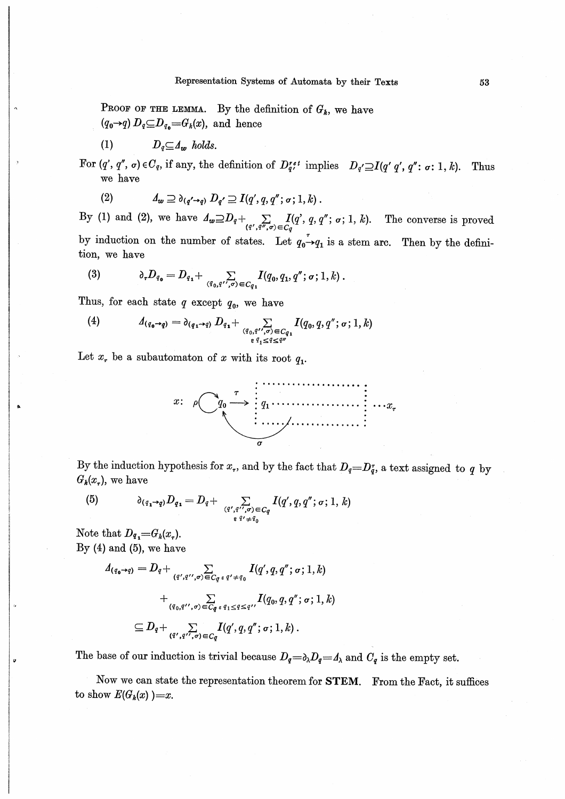PROOF OF THE LEMMA. By the definition of  $G_k$ , we have  $(q_0 \rightarrow q) D_q \subseteq D_{q_0} = G_k(x)$ , and hence

 $(1)$  $D_q \subseteq 4_w$  holds.

For  $(q', q'', \sigma) \in C_q$ , if any, the definition of  $D_q^{ref}$  implies  $D_q' \supseteq I(q' | q', q'' : \sigma : 1, k)$ . Thus we have

(2) 
$$
A_w \supseteq \partial_{(q'\rightarrow q)} D_{q'} \supseteq I(q',q,q''; \sigma; 1,k).
$$

By (1) and (2), we have  $A_{\omega} \supseteq D_q + \sum_{(q',q'',\sigma) \in C_q} I(q',q,q'';\sigma;1,k)$ . The converse is proved by induction on the number of states. Let  $q_0 \rightarrow q_1$  is a stem arc. Then by the definition, we have

(3) 
$$
\partial_{\tau}D_{q_{0}} = D_{q_{1}} + \sum_{(q_{0},q',\sigma) \in C_{q_{1}}} I(q_{0},q_{1},q'';\sigma;1,k).
$$

Thus, for each state  $q$  except  $q_0$ , we have

(4) 
$$
\Delta_{(q_0 \rightarrow q)} = \partial_{(q_1 \rightarrow q)} D_{q_1} + \sum_{(q_0, q'', \sigma) \in C_{q_1} \atop \epsilon q_1 \leq q \leq q''} I(q_0, q, q''; \sigma; 1, k)
$$

Let  $x_r$  be a subautomaton of x with its root  $q_1$ .



By the induction hypothesis for  $x_r$ , and by the fact that  $D_q=D_q^r$ , a text assigned to q by  $G_k(x_\tau)$ , we have

(5) 
$$
\partial_{(q_1 \rightarrow q)} D_{q_1} = D_q + \sum_{(q',q'',\sigma) \in C_q} I(q',q,q'';\sigma;1,k)
$$

Note that  $D_{q_1} = G_k(x_{\tau}).$ By  $(4)$  and  $(5)$ , we have

$$
A_{(q_{\mathbf{0}}\rightarrow q)} = D_q + \sum_{(q',q'',\sigma) \in C_q} I(q',q,q'';\sigma;1,k)
$$
  
+ 
$$
\sum_{(q_0,q'',\sigma) \in C_q} I(q_0,q,q'';\sigma;1,k)
$$
  

$$
\subseteq D_q + \sum_{(q',q'',\sigma) \in C_q} I(q',q,q'';\sigma;1,k).
$$

The base of our induction is trivial because  $D_q = \partial_\lambda D_q = \partial_\lambda$  and  $C_q$  is the empty set.

Now we can state the representation theorem for STEM. From the Fact, it suffices to show  $E(G_k(x))=x$ .